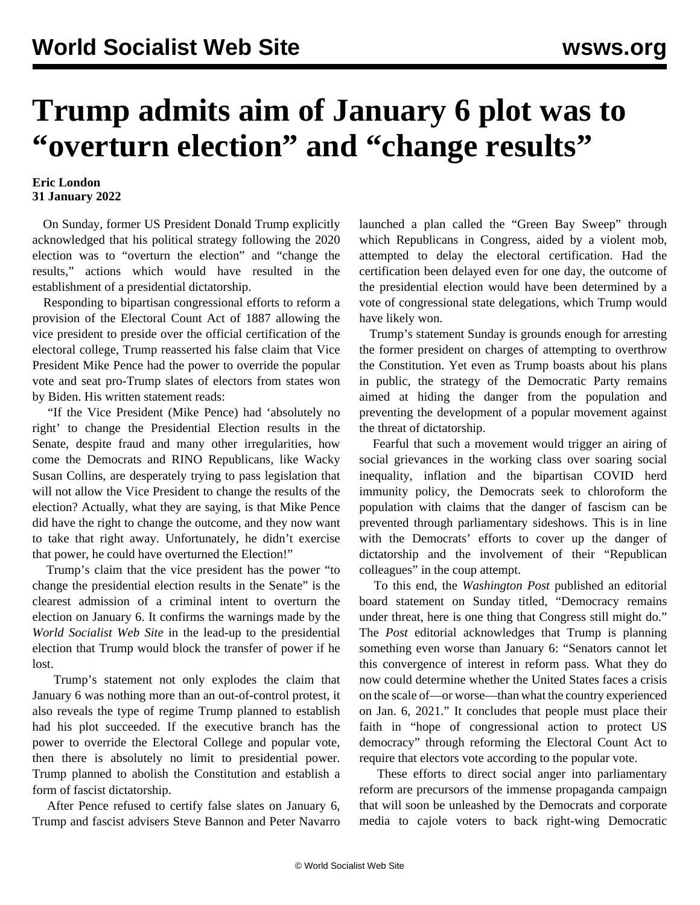## **Trump admits aim of January 6 plot was to "overturn election" and "change results"**

## **Eric London 31 January 2022**

 On Sunday, former US President Donald Trump explicitly acknowledged that his political strategy following the 2020 election was to "overturn the election" and "change the results," actions which would have resulted in the establishment of a presidential dictatorship.

 Responding to bipartisan congressional efforts to reform a provision of the Electoral Count Act of 1887 allowing the vice president to preside over the official certification of the electoral college, Trump reasserted his false claim that Vice President Mike Pence had the power to override the popular vote and seat pro-Trump slates of electors from states won by Biden. His written statement reads:

 "If the Vice President (Mike Pence) had 'absolutely no right' to change the Presidential Election results in the Senate, despite fraud and many other irregularities, how come the Democrats and RINO Republicans, like Wacky Susan Collins, are desperately trying to pass legislation that will not allow the Vice President to change the results of the election? Actually, what they are saying, is that Mike Pence did have the right to change the outcome, and they now want to take that right away. Unfortunately, he didn't exercise that power, he could have overturned the Election!"

 Trump's claim that the vice president has the power "to change the presidential election results in the Senate" is the clearest admission of a criminal intent to overturn the election on January 6. It confirms the warnings made by the *World Socialist Web Site* in the lead-up to the presidential election that Trump would block the transfer of power if he lost.

 Trump's statement not only explodes the claim that January 6 was nothing more than an out-of-control protest, it also reveals the type of regime Trump planned to establish had his plot succeeded. If the executive branch has the power to override the Electoral College and popular vote, then there is absolutely no limit to presidential power. Trump planned to abolish the Constitution and establish a form of fascist dictatorship.

 After Pence refused to certify false slates on January 6, Trump and fascist advisers Steve Bannon and Peter Navarro launched a plan called the "Green Bay Sweep" through which Republicans in Congress, aided by a violent mob, attempted to delay the electoral certification. Had the certification been delayed even for one day, the outcome of the presidential election would have been determined by a vote of congressional state delegations, which Trump would have likely won.

 Trump's statement Sunday is grounds enough for arresting the former president on charges of attempting to overthrow the Constitution. Yet even as Trump boasts about his plans in public, the strategy of the Democratic Party remains aimed at hiding the danger from the population and preventing the development of a popular movement against the threat of dictatorship.

 Fearful that such a movement would trigger an airing of social grievances in the working class over soaring social inequality, inflation and the bipartisan COVID herd immunity policy, the Democrats seek to chloroform the population with claims that the danger of fascism can be prevented through parliamentary sideshows. This is in line with the Democrats' efforts to cover up the danger of dictatorship and the involvement of their "Republican colleagues" in the coup attempt.

 To this end, the *Washington Post* published an editorial board statement on Sunday titled, "Democracy remains under threat, here is one thing that Congress still might do." The *Post* editorial acknowledges that Trump is planning something even worse than January 6: "Senators cannot let this convergence of interest in reform pass. What they do now could determine whether the United States faces a crisis on the scale of—or worse—than what the country experienced on Jan. 6, 2021." It concludes that people must place their faith in "hope of congressional action to protect US democracy" through reforming the Electoral Count Act to require that electors vote according to the popular vote.

 These efforts to direct social anger into parliamentary reform are precursors of the immense propaganda campaign that will soon be unleashed by the Democrats and corporate media to cajole voters to back right-wing Democratic